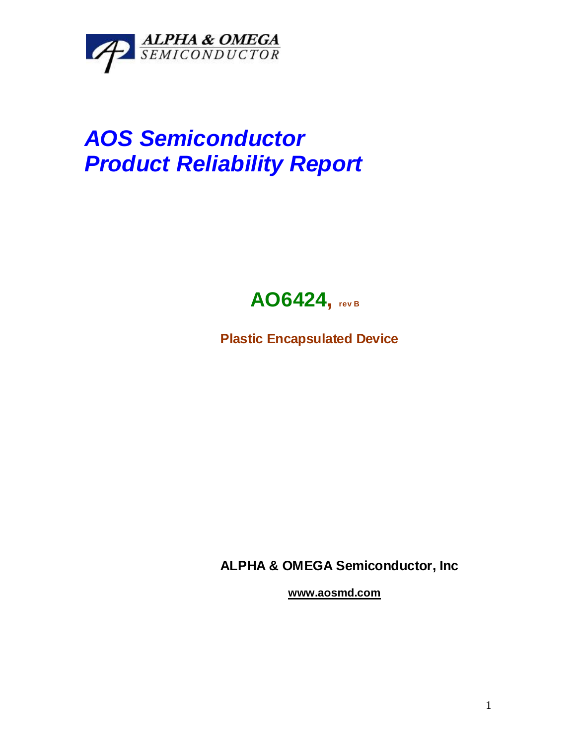

# *AOS Semiconductor Product Reliability Report*



**Plastic Encapsulated Device**

**ALPHA & OMEGA Semiconductor, Inc**

**www.aosmd.com**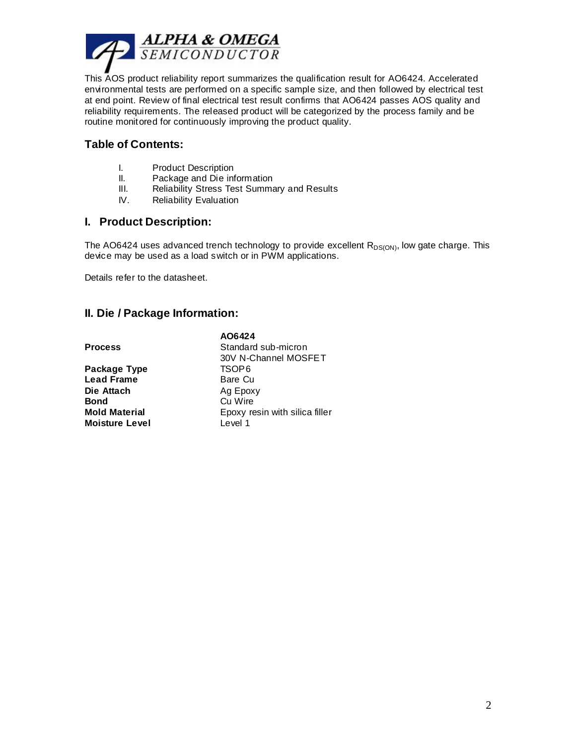

This AOS product reliability report summarizes the qualification result for AO6424. Accelerated environmental tests are performed on a specific sample size, and then followed by electrical test at end point. Review of final electrical test result confirms that AO6424 passes AOS quality and reliability requirements. The released product will be categorized by the process family and be routine monitored for continuously improving the product quality.

#### **Table of Contents:**

- I. Product Description
- II. Package and Die information
- III. Reliability Stress Test Summary and Results
- IV. Reliability Evaluation

#### **I. Product Description:**

The AO6424 uses advanced trench technology to provide excellent  $R_{DS(ON)}$ , low gate charge. This device may be used as a load switch or in PWM applications.

Details refer to the datasheet.

# **II. Die / Package Information:**

|                       | AO6424                         |
|-----------------------|--------------------------------|
| Process               | Standard sub-micron            |
|                       | 30V N-Channel MOSFET           |
| Package Type          | TSOP6                          |
| <b>Lead Frame</b>     | Bare Cu                        |
| Die Attach            | Ag Epoxy                       |
| Bond                  | Cu Wire                        |
| <b>Mold Material</b>  | Epoxy resin with silica filler |
| <b>Moisture Level</b> | Level 1                        |
|                       |                                |